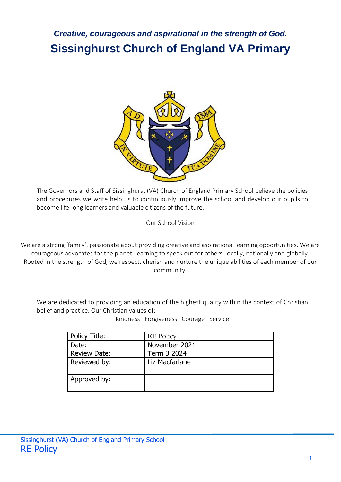# *Creative, courageous and aspirational in the strength of God.* **Sissinghurst Church of England VA Primary**



The Governors and Staff of Sissinghurst (VA) Church of England Primary School believe the policies and procedures we write help us to continuously improve the school and develop our pupils to become life-long learners and valuable citizens of the future.

Our School Vision

We are a strong 'family', passionate about providing creative and aspirational learning opportunities. We are courageous advocates for the planet, learning to speak out for others' locally, nationally and globally. Rooted in the strength of God, we respect, cherish and nurture the unique abilities of each member of our community.

We are dedicated to providing an education of the highest quality within the context of Christian belief and practice. Our Christian values of:

Kindness Forgiveness Courage Service

| Policy Title:       | <b>RE</b> Policy |
|---------------------|------------------|
| Date:               | November 2021    |
| <b>Review Date:</b> | Term 3 2024      |
| Reviewed by:        | Liz Macfarlane   |
| Approved by:        |                  |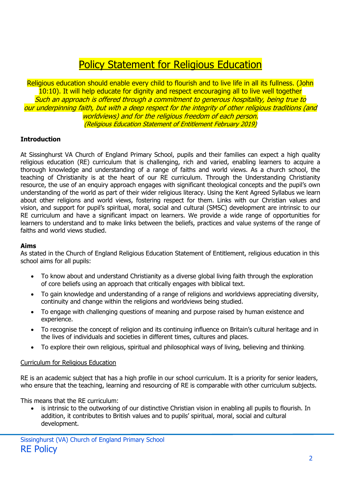# Policy Statement for Religious Education

Religious education should enable every child to flourish and to live life in all its fullness. (John 10:10). It will help educate for dignity and respect encouraging all to live well together Such an approach is offered through a commitment to generous hospitality, being true to our underpinning faith, but with a deep respect for the integrity of other religious traditions (and worldviews) and for the religious freedom of each person. (Religious Education Statement of Entitlement February 2019)

#### **Introduction**

At Sissinghurst VA Church of England Primary School, pupils and their families can expect a high quality religious education (RE) curriculum that is challenging, rich and varied, enabling learners to acquire a thorough knowledge and understanding of a range of faiths and world views. As a church school, the teaching of Christianity is at the heart of our RE curriculum. Through the Understanding Christianity resource, the use of an enquiry approach engages with significant theological concepts and the pupil's own understanding of the world as part of their wider religious literacy. Using the Kent Agreed Syllabus we learn about other religions and world views, fostering respect for them. Links with our Christian values and vision, and support for pupil's spiritual, moral, social and cultural (SMSC) development are intrinsic to our RE curriculum and have a significant impact on learners. We provide a wide range of opportunities for learners to understand and to make links between the beliefs, practices and value systems of the range of faiths and world views studied.

#### **Aims**

As stated in the Church of England Religious Education Statement of Entitlement, religious education in this school aims for all pupils:

- To know about and understand Christianity as a diverse global living faith through the exploration of core beliefs using an approach that critically engages with biblical text.
- To gain knowledge and understanding of a range of religions and worldviews appreciating diversity, continuity and change within the religions and worldviews being studied.
- To engage with challenging questions of meaning and purpose raised by human existence and experience.
- To recognise the concept of religion and its continuing influence on Britain's cultural heritage and in the lives of individuals and societies in different times, cultures and places.
- To explore their own religious, spiritual and philosophical ways of living, believing and thinking.

#### Curriculum for Religious Education

RE is an academic subject that has a high profile in our school curriculum. It is a priority for senior leaders, who ensure that the teaching, learning and resourcing of RE is comparable with other curriculum subjects.

This means that the RE curriculum:

 is intrinsic to the outworking of our distinctive Christian vision in enabling all pupils to flourish. In addition, it contributes to British values and to pupils' spiritual, moral, social and cultural development.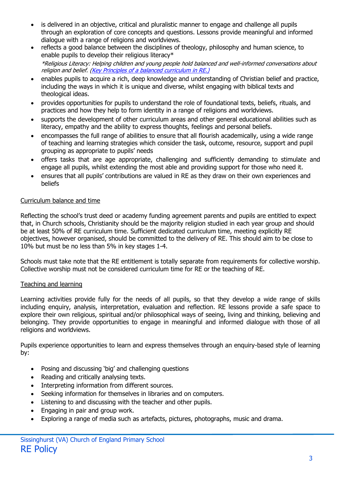- is delivered in an objective, critical and pluralistic manner to engage and challenge all pupils through an exploration of core concepts and questions. Lessons provide meaningful and informed dialogue with a range of religions and worldviews.
- reflects a good balance between the disciplines of theology, philosophy and human science, to enable pupils to develop their religious literacy\* \*Religious Literacy: Helping children and young people hold balanced and well-informed conversations about religion and belief. [\(Key Principles of a balanced curriculum in RE.\)](https://www.churchofengland.org/sites/default/files/2018-03/Key%20principles%20of%20a%20balanced%20curriculum%20in%20RE_0.pdf)
- enables pupils to acquire a rich, deep knowledge and understanding of Christian belief and practice, including the ways in which it is unique and diverse, whilst engaging with biblical texts and theological ideas.
- provides opportunities for pupils to understand the role of foundational texts, beliefs, rituals, and practices and how they help to form identity in a range of religions and worldviews.
- supports the development of other curriculum areas and other general educational abilities such as literacy, empathy and the ability to express thoughts, feelings and personal beliefs.
- encompasses the full range of abilities to ensure that all flourish academically, using a wide range of teaching and learning strategies which consider the task, outcome, resource, support and pupil grouping as appropriate to pupils' needs
- offers tasks that are age appropriate, challenging and sufficiently demanding to stimulate and engage all pupils, whilst extending the most able and providing support for those who need it.
- ensures that all pupils' contributions are valued in RE as they draw on their own experiences and beliefs

# Curriculum balance and time

Reflecting the school's trust deed or academy funding agreement parents and pupils are entitled to expect that, in Church schools, Christianity should be the majority religion studied in each year group and should be at least 50% of RE curriculum time. Sufficient dedicated curriculum time, meeting explicitly RE objectives, however organised, should be committed to the delivery of RE. This should aim to be close to 10% but must be no less than 5% in key stages 1-4.

Schools must take note that the RE entitlement is totally separate from requirements for collective worship. Collective worship must not be considered curriculum time for RE or the teaching of RE.

#### Teaching and learning

Learning activities provide fully for the needs of all pupils, so that they develop a wide range of skills including enquiry, analysis, interpretation, evaluation and reflection. RE lessons provide a safe space to explore their own religious, spiritual and/or philosophical ways of seeing, living and thinking, believing and belonging. They provide opportunities to engage in meaningful and informed dialogue with those of all religions and worldviews.

Pupils experience opportunities to learn and express themselves through an enquiry-based style of learning by:

- Posing and discussing 'big' and challenging questions
- Reading and critically analysing texts.
- Interpreting information from different sources.
- Seeking information for themselves in libraries and on computers.
- Listening to and discussing with the teacher and other pupils.
- Engaging in pair and group work.
- Exploring a range of media such as artefacts, pictures, photographs, music and drama.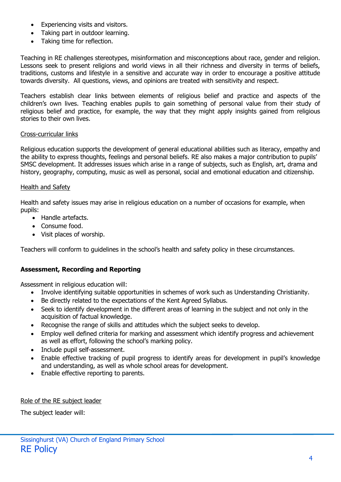- Experiencing visits and visitors.
- Taking part in outdoor learning.
- Taking time for reflection.

Teaching in RE challenges stereotypes, misinformation and misconceptions about race, gender and religion. Lessons seek to present religions and world views in all their richness and diversity in terms of beliefs, traditions, customs and lifestyle in a sensitive and accurate way in order to encourage a positive attitude towards diversity. All questions, views, and opinions are treated with sensitivity and respect.

Teachers establish clear links between elements of religious belief and practice and aspects of the children's own lives. Teaching enables pupils to gain something of personal value from their study of religious belief and practice, for example, the way that they might apply insights gained from religious stories to their own lives.

#### Cross-curricular links

Religious education supports the development of general educational abilities such as literacy, empathy and the ability to express thoughts, feelings and personal beliefs. RE also makes a major contribution to pupils' SMSC development. It addresses issues which arise in a range of subjects, such as English, art, drama and history, geography, computing, music as well as personal, social and emotional education and citizenship.

#### Health and Safety

Health and safety issues may arise in religious education on a number of occasions for example, when pupils:

- Handle artefacts.
- Consume food.
- Visit places of worship.

Teachers will conform to guidelines in the school's health and safety policy in these circumstances.

#### **Assessment, Recording and Reporting**

Assessment in religious education will:

- Involve identifying suitable opportunities in schemes of work such as Understanding Christianity.
- Be directly related to the expectations of the Kent Agreed Syllabus.
- Seek to identify development in the different areas of learning in the subject and not only in the acquisition of factual knowledge.
- Recognise the range of skills and attitudes which the subject seeks to develop.
- Employ well defined criteria for marking and assessment which identify progress and achievement as well as effort, following the school's marking policy.
- Include pupil self-assessment.
- Enable effective tracking of pupil progress to identify areas for development in pupil's knowledge and understanding, as well as whole school areas for development.
- Enable effective reporting to parents.

Role of the RE subject leader

The subject leader will: